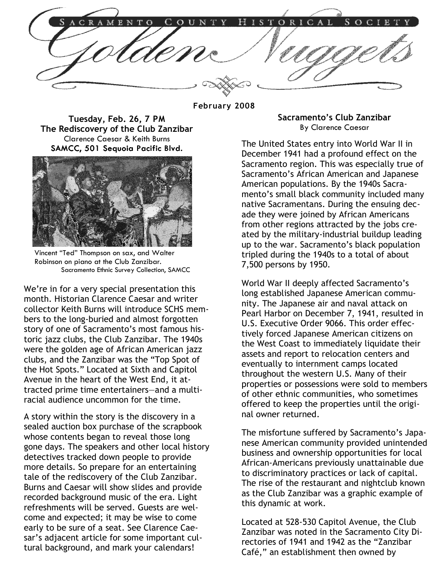TORICAL E N S

February 2008

Tuesday, Feb. 26, 7 PM The Rediscovery of the Club Zanzibar Clarence Caesar & Keith Burns SAMCC, 501 Sequoia Pacific Blvd.



Vincent "Ted" Thompson on sax, and Walter Robinson on piano at the Club Zanzibar. Sacramento Ethnic Survey Collection, SAMCC

We're in for a very special presentation this month. Historian Clarence Caesar and writer collector Keith Burns will introduce SCHS members to the long-buried and almost forgotten story of one of Sacramento's most famous historic jazz clubs, the Club Zanzibar. The 1940s were the golden age of African American jazz clubs, and the Zanzibar was the "Top Spot of the Hot Spots." Located at Sixth and Capitol Avenue in the heart of the West End, it attracted prime time entertainers—and a multiracial audience uncommon for the time.

A story within the story is the discovery in a sealed auction box purchase of the scrapbook whose contents began to reveal those long gone days. The speakers and other local history detectives tracked down people to provide more details. So prepare for an entertaining tale of the rediscovery of the Club Zanzibar. Burns and Caesar will show slides and provide recorded background music of the era. Light refreshments will be served. Guests are welcome and expected; it may be wise to come early to be sure of a seat. See Clarence Caesar's adjacent article for some important cultural background, and mark your calendars!

Sacramento's Club Zanzibar By Clarence Caesar

The United States entry into World War II in December 1941 had a profound effect on the Sacramento region. This was especially true of Sacramento's African American and Japanese American populations. By the 1940s Sacramento's small black community included many native Sacramentans. During the ensuing decade they were joined by African Americans from other regions attracted by the jobs created by the military-industrial buildup leading up to the war. Sacramento's black population tripled during the 1940s to a total of about 7,500 persons by 1950.

World War II deeply affected Sacramento's long established Japanese American community. The Japanese air and naval attack on Pearl Harbor on December 7, 1941, resulted in U.S. Executive Order 9066. This order effectively forced Japanese American citizens on the West Coast to immediately liquidate their assets and report to relocation centers and eventually to internment camps located throughout the western U.S. Many of their properties or possessions were sold to members of other ethnic communities, who sometimes offered to keep the properties until the original owner returned.

The misfortune suffered by Sacramento's Japanese American community provided unintended business and ownership opportunities for local African-Americans previously unattainable due to discriminatory practices or lack of capital. The rise of the restaurant and nightclub known as the Club Zanzibar was a graphic example of this dynamic at work.

Located at 528-530 Capitol Avenue, the Club Zanzibar was noted in the Sacramento City Directories of 1941 and 1942 as the "Zanzibar Café," an establishment then owned by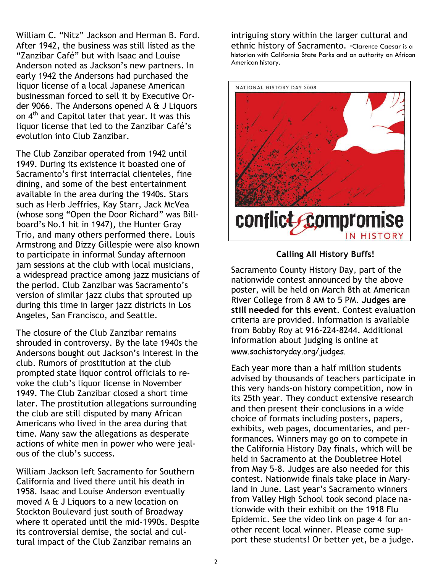William C. "Nitz" Jackson and Herman B. Ford. After 1942, the business was still listed as the "Zanzibar Café" but with Isaac and Louise Anderson noted as Jackson's new partners. In early 1942 the Andersons had purchased the liquor license of a local Japanese American businessman forced to sell it by Executive Order 9066. The Andersons opened A & J Liquors on 4<sup>th</sup> and Capitol later that year. It was this liquor license that led to the Zanzibar Café's evolution into Club Zanzibar.

The Club Zanzibar operated from 1942 until 1949. During its existence it boasted one of Sacramento's first interracial clienteles, fine dining, and some of the best entertainment available in the area during the 1940s. Stars such as Herb Jeffries, Kay Starr, Jack McVea (whose song "Open the Door Richard" was Billboard's No.1 hit in 1947), the Hunter Gray Trio, and many others performed there. Louis Armstrong and Dizzy Gillespie were also known to participate in informal Sunday afternoon jam sessions at the club with local musicians, a widespread practice among jazz musicians of the period. Club Zanzibar was Sacramento's version of similar jazz clubs that sprouted up during this time in larger jazz districts in Los Angeles, San Francisco, and Seattle.

The closure of the Club Zanzibar remains shrouded in controversy. By the late 1940s the Andersons bought out Jackson's interest in the club. Rumors of prostitution at the club prompted state liquor control officials to revoke the club's liquor license in November 1949. The Club Zanzibar closed a short time later. The prostitution allegations surrounding the club are still disputed by many African Americans who lived in the area during that time. Many saw the allegations as desperate actions of white men in power who were jealous of the club's success.

William Jackson left Sacramento for Southern California and lived there until his death in 1958. Isaac and Louise Anderson eventually moved A & J Liquors to a new location on Stockton Boulevard just south of Broadway where it operated until the mid-1990s. Despite its controversial demise, the social and cultural impact of the Club Zanzibar remains an

intriguing story within the larger cultural and ethnic history of Sacramento. -Clarence Caesar is a historian with California State Parks and an authority on African American history.



## Calling All History Buffs!

Sacramento County History Day, part of the nationwide contest announced by the above poster, will be held on March 8th at American River College from 8 AM to 5 PM. Judges are still needed for this event. Contest evaluation criteria are provided. Information is available from Bobby Roy at 916-224-8244. Additional information about judging is online at www.sachistoryday.org/judges.

Each year more than a half million students advised by thousands of teachers participate in this very hands-on history competition, now in its 25th year. They conduct extensive research and then present their conclusions in a wide choice of formats including posters, papers, exhibits, web pages, documentaries, and performances. Winners may go on to compete in the California History Day finals, which will be held in Sacramento at the Doubletree Hotel from May 5–8. Judges are also needed for this contest. Nationwide finals take place in Maryland in June. Last year's Sacramento winners from Valley High School took second place nationwide with their exhibit on the 1918 Flu Epidemic. See the video link on page 4 for another recent local winner. Please come support these students! Or better yet, be a judge.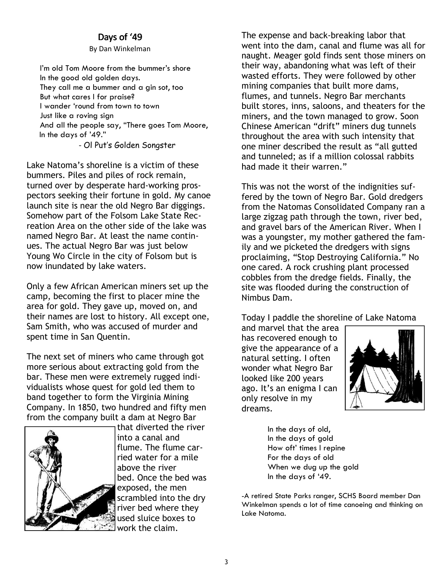## Days of '49

By Dan Winkelman

I'm old Tom Moore from the bummer's shore In the good old golden days. They call me a bummer and a gin sot, too But what cares I for praise? I wander 'round from town to town Just like a roving sign And all the people say, "There goes Tom Moore, In the days of '49."

- Ol Put's Golden Songster

Lake Natoma's shoreline is a victim of these bummers. Piles and piles of rock remain, turned over by desperate hard-working prospectors seeking their fortune in gold. My canoe launch site is near the old Negro Bar diggings. Somehow part of the Folsom Lake State Recreation Area on the other side of the lake was named Negro Bar. At least the name continues. The actual Negro Bar was just below Young Wo Circle in the city of Folsom but is now inundated by lake waters.

Only a few African American miners set up the camp, becoming the first to placer mine the area for gold. They gave up, moved on, and their names are lost to history. All except one, Sam Smith, who was accused of murder and spent time in San Quentin.

The next set of miners who came through got more serious about extracting gold from the bar. These men were extremely rugged individualists whose quest for gold led them to band together to form the Virginia Mining Company. In 1850, two hundred and fifty men from the company built a dam at Negro Bar



that diverted the river into a canal and flume. The flume carried water for a mile above the river bed. Once the bed was exposed, the men scrambled into the dry river bed where they used sluice boxes to work the claim.

The expense and back-breaking labor that went into the dam, canal and flume was all for naught. Meager gold finds sent those miners on their way, abandoning what was left of their wasted efforts. They were followed by other mining companies that built more dams, flumes, and tunnels. Negro Bar merchants built stores, inns, saloons, and theaters for the miners, and the town managed to grow. Soon Chinese American "drift" miners dug tunnels throughout the area with such intensity that one miner described the result as "all gutted and tunneled; as if a million colossal rabbits had made it their warren."

This was not the worst of the indignities suffered by the town of Negro Bar. Gold dredgers from the Natomas Consolidated Company ran a large zigzag path through the town, river bed, and gravel bars of the American River. When I was a youngster, my mother gathered the family and we picketed the dredgers with signs proclaiming, "Stop Destroying California." No one cared. A rock crushing plant processed cobbles from the dredge fields. Finally, the site was flooded during the construction of Nimbus Dam.

Today I paddle the shoreline of Lake Natoma

and marvel that the area has recovered enough to give the appearance of a natural setting. I often wonder what Negro Bar looked like 200 years ago. It's an enigma I can only resolve in my dreams.



In the days of old, In the days of gold How oft' times I repine For the days of old When we dug up the gold In the days of '49.

-A retired State Parks ranger, SCHS Board member Dan Winkelman spends a lot of time canoeing and thinking on Lake Natoma.